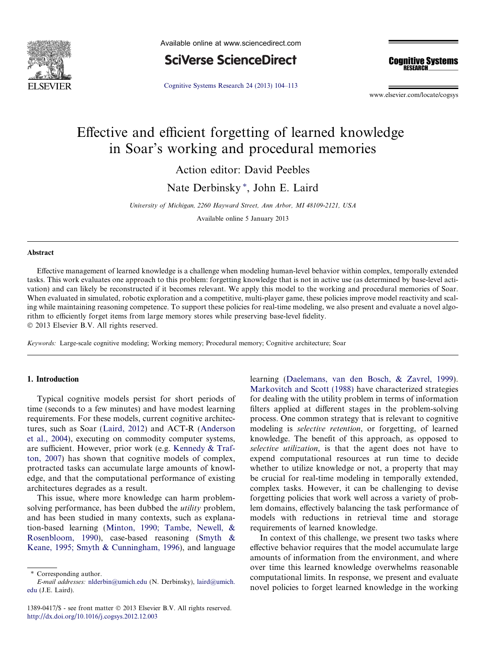

Available online at www.sciencedirect.com

**SciVerse ScienceDirect** 

**Cognitive Systems RESEARCH** 

[Cognitive Systems Research 24 \(2013\) 104–113](http://dx.doi.org/10.1016/j.cogsys.2012.12.003)

www.elsevier.com/locate/cogsys

# Effective and efficient forgetting of learned knowledge in Soar's working and procedural memories

Action editor: David Peebles

Nate Derbinsky<sup>\*</sup>, John E. Laird

University of Michigan, 2260 Hayward Street, Ann Arbor, MI 48109-2121, USA

Available online 5 January 2013

## Abstract

Effective management of learned knowledge is a challenge when modeling human-level behavior within complex, temporally extended tasks. This work evaluates one approach to this problem: forgetting knowledge that is not in active use (as determined by base-level activation) and can likely be reconstructed if it becomes relevant. We apply this model to the working and procedural memories of Soar. When evaluated in simulated, robotic exploration and a competitive, multi-player game, these policies improve model reactivity and scaling while maintaining reasoning competence. To support these policies for real-time modeling, we also present and evaluate a novel algorithm to efficiently forget items from large memory stores while preserving base-level fidelity. © 2013 Elsevier B.V. All rights reserved.

Keywords: Large-scale cognitive modeling; Working memory; Procedural memory; Cognitive architecture; Soar

## 1. Introduction

Typical cognitive models persist for short periods of time (seconds to a few minutes) and have modest learning requirements. For these models, current cognitive architectures, such as Soar ([Laird, 2012](#page--1-0)) and ACT-R ([Anderson](#page--1-0) [et al., 2004\)](#page--1-0), executing on commodity computer systems, are sufficient. However, prior work (e.g. [Kennedy & Traf](#page--1-0)[ton, 2007](#page--1-0)) has shown that cognitive models of complex, protracted tasks can accumulate large amounts of knowledge, and that the computational performance of existing architectures degrades as a result.

This issue, where more knowledge can harm problemsolving performance, has been dubbed the *utility* problem, and has been studied in many contexts, such as explanation-based learning [\(Minton, 1990; Tambe, Newell, &](#page--1-0) [Rosenbloom, 1990](#page--1-0)), case-based reasoning ([Smyth &](#page--1-0) [Keane, 1995; Smyth & Cunningham, 1996\)](#page--1-0), and language

\* Corresponding author.

1389-0417/\$ - see front matter © 2013 Elsevier B.V. All rights reserved. <http://dx.doi.org/10.1016/j.cogsys.2012.12.003>

learning [\(Daelemans, van den Bosch, & Zavrel, 1999\)](#page--1-0). [Markovitch and Scott \(1988\)](#page--1-0) have characterized strategies for dealing with the utility problem in terms of information filters applied at different stages in the problem-solving process. One common strategy that is relevant to cognitive modeling is selective retention, or forgetting, of learned knowledge. The benefit of this approach, as opposed to selective utilization, is that the agent does not have to expend computational resources at run time to decide whether to utilize knowledge or not, a property that may be crucial for real-time modeling in temporally extended, complex tasks. However, it can be challenging to devise forgetting policies that work well across a variety of problem domains, effectively balancing the task performance of models with reductions in retrieval time and storage requirements of learned knowledge.

In context of this challenge, we present two tasks where effective behavior requires that the model accumulate large amounts of information from the environment, and where over time this learned knowledge overwhelms reasonable computational limits. In response, we present and evaluate novel policies to forget learned knowledge in the working

E-mail addresses: [nlderbin@umich.edu](mailto:nlderbin@umich.edu) (N. Derbinsky), [laird@umich.](mailto:laird@umich.edu) [edu](mailto:laird@umich.edu) (J.E. Laird).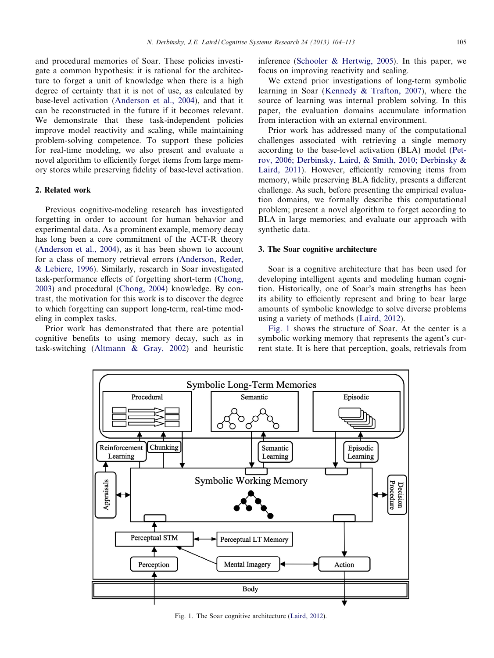and procedural memories of Soar. These policies investigate a common hypothesis: it is rational for the architecture to forget a unit of knowledge when there is a high degree of certainty that it is not of use, as calculated by base-level activation ([Anderson et al., 2004\)](#page--1-0), and that it can be reconstructed in the future if it becomes relevant. We demonstrate that these task-independent policies improve model reactivity and scaling, while maintaining problem-solving competence. To support these policies for real-time modeling, we also present and evaluate a novel algorithm to efficiently forget items from large memory stores while preserving fidelity of base-level activation.

### 2. Related work

Previous cognitive-modeling research has investigated forgetting in order to account for human behavior and experimental data. As a prominent example, memory decay has long been a core commitment of the ACT-R theory ([Anderson et al., 2004](#page--1-0)), as it has been shown to account for a class of memory retrieval errors [\(Anderson, Reder,](#page--1-0) [& Lebiere, 1996\)](#page--1-0). Similarly, research in Soar investigated task-performance effects of forgetting short-term [\(Chong,](#page--1-0) [2003](#page--1-0)) and procedural ([Chong, 2004](#page--1-0)) knowledge. By contrast, the motivation for this work is to discover the degree to which forgetting can support long-term, real-time modeling in complex tasks.

Prior work has demonstrated that there are potential cognitive benefits to using memory decay, such as in task-switching ([Altmann & Gray, 2002\)](#page--1-0) and heuristic inference ([Schooler & Hertwig, 2005](#page--1-0)). In this paper, we focus on improving reactivity and scaling.

We extend prior investigations of long-term symbolic learning in Soar ([Kennedy & Trafton, 2007](#page--1-0)), where the source of learning was internal problem solving. In this paper, the evaluation domains accumulate information from interaction with an external environment.

Prior work has addressed many of the computational challenges associated with retrieving a single memory according to the base-level activation (BLA) model [\(Pet](#page--1-0)[rov, 2006; Derbinsky, Laird, & Smith, 2010; Derbinsky &](#page--1-0) [Laird, 2011](#page--1-0)). However, efficiently removing items from memory, while preserving BLA fidelity, presents a different challenge. As such, before presenting the empirical evaluation domains, we formally describe this computational problem; present a novel algorithm to forget according to BLA in large memories; and evaluate our approach with synthetic data.

#### 3. The Soar cognitive architecture

Soar is a cognitive architecture that has been used for developing intelligent agents and modeling human cognition. Historically, one of Soar's main strengths has been its ability to efficiently represent and bring to bear large amounts of symbolic knowledge to solve diverse problems using a variety of methods [\(Laird, 2012](#page--1-0)).

Fig. 1 shows the structure of Soar. At the center is a symbolic working memory that represents the agent's current state. It is here that perception, goals, retrievals from



Fig. 1. The Soar cognitive architecture [\(Laird, 2012\)](#page--1-0).